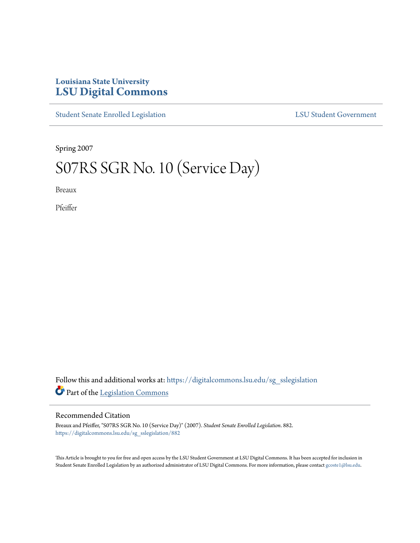## **Louisiana State University [LSU Digital Commons](https://digitalcommons.lsu.edu?utm_source=digitalcommons.lsu.edu%2Fsg_sslegislation%2F882&utm_medium=PDF&utm_campaign=PDFCoverPages)**

[Student Senate Enrolled Legislation](https://digitalcommons.lsu.edu/sg_sslegislation?utm_source=digitalcommons.lsu.edu%2Fsg_sslegislation%2F882&utm_medium=PDF&utm_campaign=PDFCoverPages) [LSU Student Government](https://digitalcommons.lsu.edu/sg?utm_source=digitalcommons.lsu.edu%2Fsg_sslegislation%2F882&utm_medium=PDF&utm_campaign=PDFCoverPages)

Spring 2007

## S07RS SGR No. 10 (Service Day)

Breaux

Pfeiffer

Follow this and additional works at: [https://digitalcommons.lsu.edu/sg\\_sslegislation](https://digitalcommons.lsu.edu/sg_sslegislation?utm_source=digitalcommons.lsu.edu%2Fsg_sslegislation%2F882&utm_medium=PDF&utm_campaign=PDFCoverPages) Part of the [Legislation Commons](http://network.bepress.com/hgg/discipline/859?utm_source=digitalcommons.lsu.edu%2Fsg_sslegislation%2F882&utm_medium=PDF&utm_campaign=PDFCoverPages)

## Recommended Citation

Breaux and Pfeiffer, "S07RS SGR No. 10 (Service Day)" (2007). *Student Senate Enrolled Legislation*. 882. [https://digitalcommons.lsu.edu/sg\\_sslegislation/882](https://digitalcommons.lsu.edu/sg_sslegislation/882?utm_source=digitalcommons.lsu.edu%2Fsg_sslegislation%2F882&utm_medium=PDF&utm_campaign=PDFCoverPages)

This Article is brought to you for free and open access by the LSU Student Government at LSU Digital Commons. It has been accepted for inclusion in Student Senate Enrolled Legislation by an authorized administrator of LSU Digital Commons. For more information, please contact [gcoste1@lsu.edu.](mailto:gcoste1@lsu.edu)